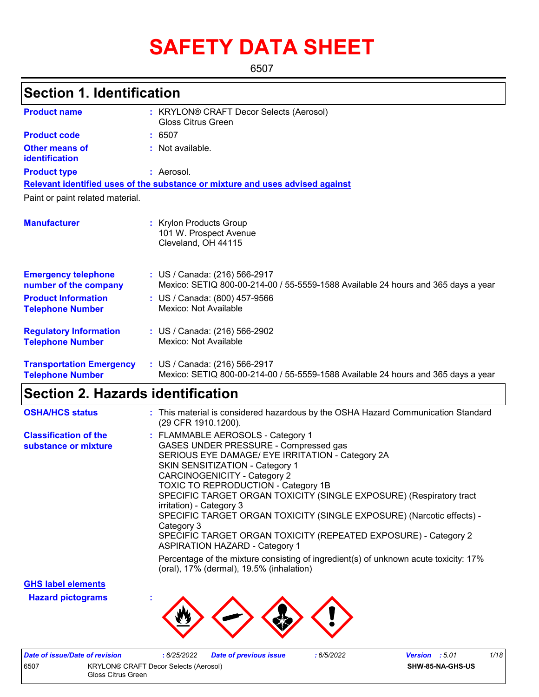# **SAFETY DATA SHEET**

6507

## **Section 1. Identification**

| <b>Product name</b>                                        | : KRYLON® CRAFT Decor Selects (Aerosol)<br><b>Gloss Citrus Green</b>                                               |
|------------------------------------------------------------|--------------------------------------------------------------------------------------------------------------------|
| <b>Product code</b>                                        | : 6507                                                                                                             |
| <b>Other means of</b><br>identification                    | : Not available.                                                                                                   |
| <b>Product type</b>                                        | : Aerosol.                                                                                                         |
|                                                            | Relevant identified uses of the substance or mixture and uses advised against                                      |
| Paint or paint related material.                           |                                                                                                                    |
| <b>Manufacturer</b>                                        | : Krylon Products Group<br>101 W. Prospect Avenue<br>Cleveland, OH 44115                                           |
| <b>Emergency telephone</b><br>number of the company        | : US / Canada: (216) 566-2917<br>Mexico: SETIQ 800-00-214-00 / 55-5559-1588 Available 24 hours and 365 days a year |
| <b>Product Information</b><br><b>Telephone Number</b>      | : US / Canada: (800) 457-9566<br>Mexico: Not Available                                                             |
| <b>Regulatory Information</b><br><b>Telephone Number</b>   | : US / Canada: (216) 566-2902<br>Mexico: Not Available                                                             |
| <b>Transportation Emergency</b><br><b>Telephone Number</b> | : US / Canada: (216) 566-2917<br>Mexico: SETIQ 800-00-214-00 / 55-5559-1588 Available 24 hours and 365 days a year |

## **Section 2. Hazards identification**

| <b>OSHA/HCS status</b>                               | : This material is considered hazardous by the OSHA Hazard Communication Standard<br>(29 CFR 1910.1200).                                                                                                                                                                                                                                                                                                                                                                                                                                                     |
|------------------------------------------------------|--------------------------------------------------------------------------------------------------------------------------------------------------------------------------------------------------------------------------------------------------------------------------------------------------------------------------------------------------------------------------------------------------------------------------------------------------------------------------------------------------------------------------------------------------------------|
| <b>Classification of the</b><br>substance or mixture | : FLAMMABLE AEROSOLS - Category 1<br>GASES UNDER PRESSURE - Compressed gas<br>SERIOUS EYE DAMAGE/ EYE IRRITATION - Category 2A<br>SKIN SENSITIZATION - Category 1<br><b>CARCINOGENICITY - Category 2</b><br><b>TOXIC TO REPRODUCTION - Category 1B</b><br>SPECIFIC TARGET ORGAN TOXICITY (SINGLE EXPOSURE) (Respiratory tract<br>irritation) - Category 3<br>SPECIFIC TARGET ORGAN TOXICITY (SINGLE EXPOSURE) (Narcotic effects) -<br>Category 3<br>SPECIFIC TARGET ORGAN TOXICITY (REPEATED EXPOSURE) - Category 2<br><b>ASPIRATION HAZARD - Category 1</b> |
|                                                      | Percentage of the mixture consisting of ingredient(s) of unknown acute toxicity: 17%<br>(oral), 17% (dermal), 19.5% (inhalation)                                                                                                                                                                                                                                                                                                                                                                                                                             |

**GHS label elements**

**Hazard pictograms :**



| Date of issue/Date of revision                                             |  | : 6/25/2022 | <b>Date of previous issue</b> | : 6/5/2022 | <b>Version</b> : 5.01 |                  | 1/18 |
|----------------------------------------------------------------------------|--|-------------|-------------------------------|------------|-----------------------|------------------|------|
| 6507<br><b>KRYLON® CRAFT Decor Selects (Aerosol)</b><br>Gloss Citrus Green |  |             |                               |            |                       | SHW-85-NA-GHS-US |      |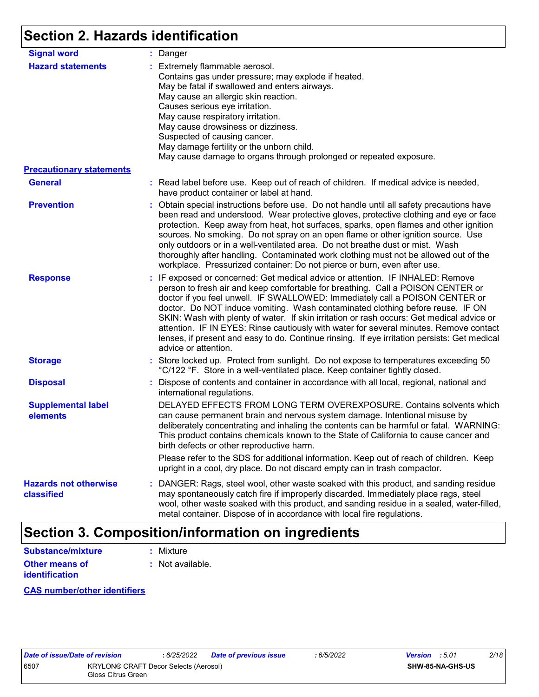# **Section 2. Hazards identification**

| <b>Signal word</b>                         | : Danger                                                                                                                                                                                                                                                                                                                                                                                                                                                                                                                                                                                                                                           |
|--------------------------------------------|----------------------------------------------------------------------------------------------------------------------------------------------------------------------------------------------------------------------------------------------------------------------------------------------------------------------------------------------------------------------------------------------------------------------------------------------------------------------------------------------------------------------------------------------------------------------------------------------------------------------------------------------------|
| <b>Hazard statements</b>                   | : Extremely flammable aerosol.<br>Contains gas under pressure; may explode if heated.<br>May be fatal if swallowed and enters airways.<br>May cause an allergic skin reaction.<br>Causes serious eye irritation.<br>May cause respiratory irritation.<br>May cause drowsiness or dizziness.<br>Suspected of causing cancer.<br>May damage fertility or the unborn child.<br>May cause damage to organs through prolonged or repeated exposure.                                                                                                                                                                                                     |
| <b>Precautionary statements</b>            |                                                                                                                                                                                                                                                                                                                                                                                                                                                                                                                                                                                                                                                    |
| <b>General</b>                             | : Read label before use. Keep out of reach of children. If medical advice is needed,<br>have product container or label at hand.                                                                                                                                                                                                                                                                                                                                                                                                                                                                                                                   |
| <b>Prevention</b>                          | : Obtain special instructions before use. Do not handle until all safety precautions have<br>been read and understood. Wear protective gloves, protective clothing and eye or face<br>protection. Keep away from heat, hot surfaces, sparks, open flames and other ignition<br>sources. No smoking. Do not spray on an open flame or other ignition source. Use<br>only outdoors or in a well-ventilated area. Do not breathe dust or mist. Wash<br>thoroughly after handling. Contaminated work clothing must not be allowed out of the<br>workplace. Pressurized container: Do not pierce or burn, even after use.                               |
| <b>Response</b>                            | : IF exposed or concerned: Get medical advice or attention. IF INHALED: Remove<br>person to fresh air and keep comfortable for breathing. Call a POISON CENTER or<br>doctor if you feel unwell. IF SWALLOWED: Immediately call a POISON CENTER or<br>doctor. Do NOT induce vomiting. Wash contaminated clothing before reuse. IF ON<br>SKIN: Wash with plenty of water. If skin irritation or rash occurs: Get medical advice or<br>attention. IF IN EYES: Rinse cautiously with water for several minutes. Remove contact<br>lenses, if present and easy to do. Continue rinsing. If eye irritation persists: Get medical<br>advice or attention. |
| <b>Storage</b>                             | : Store locked up. Protect from sunlight. Do not expose to temperatures exceeding 50<br>°C/122 °F. Store in a well-ventilated place. Keep container tightly closed.                                                                                                                                                                                                                                                                                                                                                                                                                                                                                |
| <b>Disposal</b>                            | : Dispose of contents and container in accordance with all local, regional, national and<br>international regulations.                                                                                                                                                                                                                                                                                                                                                                                                                                                                                                                             |
| <b>Supplemental label</b><br>elements      | DELAYED EFFECTS FROM LONG TERM OVEREXPOSURE. Contains solvents which<br>can cause permanent brain and nervous system damage. Intentional misuse by<br>deliberately concentrating and inhaling the contents can be harmful or fatal. WARNING:<br>This product contains chemicals known to the State of California to cause cancer and<br>birth defects or other reproductive harm.                                                                                                                                                                                                                                                                  |
|                                            | Please refer to the SDS for additional information. Keep out of reach of children. Keep<br>upright in a cool, dry place. Do not discard empty can in trash compactor.                                                                                                                                                                                                                                                                                                                                                                                                                                                                              |
| <b>Hazards not otherwise</b><br>classified | : DANGER: Rags, steel wool, other waste soaked with this product, and sanding residue<br>may spontaneously catch fire if improperly discarded. Immediately place rags, steel<br>wool, other waste soaked with this product, and sanding residue in a sealed, water-filled,<br>metal container. Dispose of in accordance with local fire regulations.                                                                                                                                                                                                                                                                                               |

## **Section 3. Composition/information on ingredients**

| <b>Substance/mixture</b> | : Mixture        |
|--------------------------|------------------|
| Other means of           | : Not available. |
| <b>identification</b>    |                  |

#### **CAS number/other identifiers**

| ate of issue/Date of |    |
|----------------------|----|
| 507                  | KI |
|                      | G  |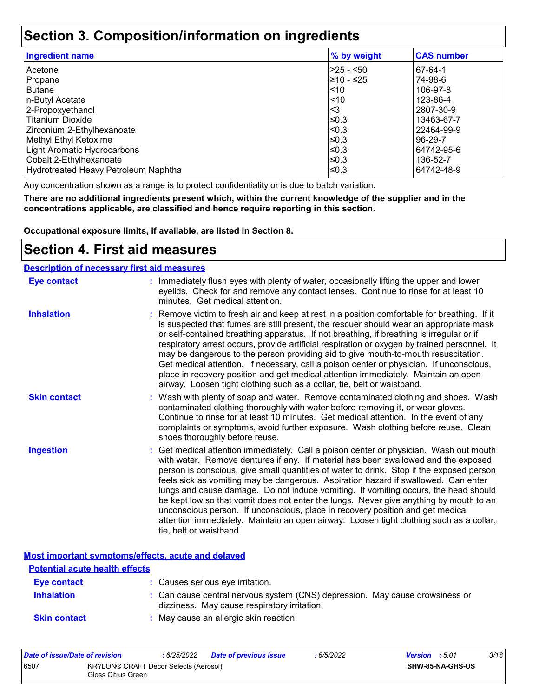## **Section 3. Composition/information on ingredients**

| <b>Ingredient name</b>               | % by weight | <b>CAS number</b> |
|--------------------------------------|-------------|-------------------|
| l Acetone                            | 225 - ≤50   | 67-64-1           |
| Propane                              | 210 - ≤25   | 74-98-6           |
| l Butane                             | ≤10         | 106-97-8          |
| n-Butyl Acetate                      | ~10         | 123-86-4          |
| 2-Propoxyethanol                     | $\leq$ 3    | 2807-30-9         |
| l Titanium Dioxide                   | ≤0.3        | 13463-67-7        |
| Zirconium 2-Ethylhexanoate           | ≤0.3        | 22464-99-9        |
| Methyl Ethyl Ketoxime                | ≤0.3        | 96-29-7           |
| Light Aromatic Hydrocarbons          | ≤0.3        | 64742-95-6        |
| Cobalt 2-Ethylhexanoate              | ≤0.3        | 136-52-7          |
| Hydrotreated Heavy Petroleum Naphtha | ≤0.3        | 64742-48-9        |

Any concentration shown as a range is to protect confidentiality or is due to batch variation.

**There are no additional ingredients present which, within the current knowledge of the supplier and in the concentrations applicable, are classified and hence require reporting in this section.**

**Occupational exposure limits, if available, are listed in Section 8.**

### **Section 4. First aid measures**

#### **Description of necessary first aid measures**

| <b>Eye contact</b>  | : Immediately flush eyes with plenty of water, occasionally lifting the upper and lower<br>eyelids. Check for and remove any contact lenses. Continue to rinse for at least 10<br>minutes. Get medical attention.                                                                                                                                                                                                                                                                                                                                                                                                                                                                                                                                       |
|---------------------|---------------------------------------------------------------------------------------------------------------------------------------------------------------------------------------------------------------------------------------------------------------------------------------------------------------------------------------------------------------------------------------------------------------------------------------------------------------------------------------------------------------------------------------------------------------------------------------------------------------------------------------------------------------------------------------------------------------------------------------------------------|
| <b>Inhalation</b>   | : Remove victim to fresh air and keep at rest in a position comfortable for breathing. If it<br>is suspected that fumes are still present, the rescuer should wear an appropriate mask<br>or self-contained breathing apparatus. If not breathing, if breathing is irregular or if<br>respiratory arrest occurs, provide artificial respiration or oxygen by trained personnel. It<br>may be dangerous to the person providing aid to give mouth-to-mouth resuscitation.<br>Get medical attention. If necessary, call a poison center or physician. If unconscious,<br>place in recovery position and get medical attention immediately. Maintain an open<br>airway. Loosen tight clothing such as a collar, tie, belt or waistband.                    |
| <b>Skin contact</b> | : Wash with plenty of soap and water. Remove contaminated clothing and shoes. Wash<br>contaminated clothing thoroughly with water before removing it, or wear gloves.<br>Continue to rinse for at least 10 minutes. Get medical attention. In the event of any<br>complaints or symptoms, avoid further exposure. Wash clothing before reuse. Clean<br>shoes thoroughly before reuse.                                                                                                                                                                                                                                                                                                                                                                   |
| <b>Ingestion</b>    | : Get medical attention immediately. Call a poison center or physician. Wash out mouth<br>with water. Remove dentures if any. If material has been swallowed and the exposed<br>person is conscious, give small quantities of water to drink. Stop if the exposed person<br>feels sick as vomiting may be dangerous. Aspiration hazard if swallowed. Can enter<br>lungs and cause damage. Do not induce vomiting. If vomiting occurs, the head should<br>be kept low so that vomit does not enter the lungs. Never give anything by mouth to an<br>unconscious person. If unconscious, place in recovery position and get medical<br>attention immediately. Maintain an open airway. Loosen tight clothing such as a collar,<br>tie, belt or waistband. |

**Most important symptoms/effects, acute and delayed**

| <b>Potential acute health effects</b> |                                                                                                                              |
|---------------------------------------|------------------------------------------------------------------------------------------------------------------------------|
| Eye contact                           | : Causes serious eye irritation.                                                                                             |
| <b>Inhalation</b>                     | : Can cause central nervous system (CNS) depression. May cause drowsiness or<br>dizziness. May cause respiratory irritation. |
| <b>Skin contact</b>                   | : May cause an allergic skin reaction.                                                                                       |

| Date of issue/Date of revision |                                                             | : 6/25/2022 | <b>Date of previous issue</b> | 6/5/2022 | <b>Version</b> : 5.01 |                         | 3/18 |
|--------------------------------|-------------------------------------------------------------|-------------|-------------------------------|----------|-----------------------|-------------------------|------|
| 6507                           | KRYLON® CRAFT Decor Selects (Aerosol)<br>Gloss Citrus Green |             |                               |          |                       | <b>SHW-85-NA-GHS-US</b> |      |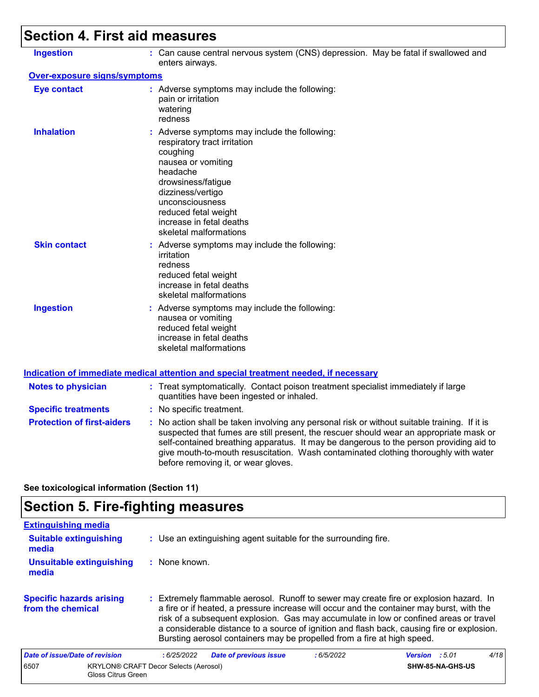# **Section 4. First aid measures**

| <b>Ingestion</b>                  | : Can cause central nervous system (CNS) depression. May be fatal if swallowed and<br>enters airways.                                                                                                                                                                                                                                                                                                           |
|-----------------------------------|-----------------------------------------------------------------------------------------------------------------------------------------------------------------------------------------------------------------------------------------------------------------------------------------------------------------------------------------------------------------------------------------------------------------|
| Over-exposure signs/symptoms      |                                                                                                                                                                                                                                                                                                                                                                                                                 |
| <b>Eye contact</b>                | : Adverse symptoms may include the following:<br>pain or irritation<br>watering<br>redness                                                                                                                                                                                                                                                                                                                      |
| <b>Inhalation</b>                 | : Adverse symptoms may include the following:<br>respiratory tract irritation<br>coughing<br>nausea or vomiting<br>headache<br>drowsiness/fatigue<br>dizziness/vertigo<br>unconsciousness<br>reduced fetal weight<br>increase in fetal deaths<br>skeletal malformations                                                                                                                                         |
| <b>Skin contact</b>               | : Adverse symptoms may include the following:<br>irritation<br>redness<br>reduced fetal weight<br>increase in fetal deaths<br>skeletal malformations                                                                                                                                                                                                                                                            |
| <b>Ingestion</b>                  | : Adverse symptoms may include the following:<br>nausea or vomiting<br>reduced fetal weight<br>increase in fetal deaths<br>skeletal malformations                                                                                                                                                                                                                                                               |
|                                   | Indication of immediate medical attention and special treatment needed, if necessary                                                                                                                                                                                                                                                                                                                            |
| <b>Notes to physician</b>         | : Treat symptomatically. Contact poison treatment specialist immediately if large<br>quantities have been ingested or inhaled.                                                                                                                                                                                                                                                                                  |
| <b>Specific treatments</b>        | : No specific treatment.                                                                                                                                                                                                                                                                                                                                                                                        |
| <b>Protection of first-aiders</b> | : No action shall be taken involving any personal risk or without suitable training. If it is<br>suspected that fumes are still present, the rescuer should wear an appropriate mask or<br>self-contained breathing apparatus. It may be dangerous to the person providing aid to<br>give mouth-to-mouth resuscitation. Wash contaminated clothing thoroughly with water<br>before removing it, or wear gloves. |
|                                   |                                                                                                                                                                                                                                                                                                                                                                                                                 |

**See toxicological information (Section 11)**

# **Section 5. Fire-fighting measures**

| <b>Extinguishing media</b>                           |                                                                                                                                                                                                                                                                                                                                                                                                                                                       |                                                                 |           |                         |      |  |  |
|------------------------------------------------------|-------------------------------------------------------------------------------------------------------------------------------------------------------------------------------------------------------------------------------------------------------------------------------------------------------------------------------------------------------------------------------------------------------------------------------------------------------|-----------------------------------------------------------------|-----------|-------------------------|------|--|--|
| <b>Suitable extinguishing</b><br>media               |                                                                                                                                                                                                                                                                                                                                                                                                                                                       | : Use an extinguishing agent suitable for the surrounding fire. |           |                         |      |  |  |
| <b>Unsuitable extinguishing</b><br>media             | $:$ None known.                                                                                                                                                                                                                                                                                                                                                                                                                                       |                                                                 |           |                         |      |  |  |
| <b>Specific hazards arising</b><br>from the chemical | : Extremely flammable aerosol. Runoff to sewer may create fire or explosion hazard. In<br>a fire or if heated, a pressure increase will occur and the container may burst, with the<br>risk of a subsequent explosion. Gas may accumulate in low or confined areas or travel<br>a considerable distance to a source of ignition and flash back, causing fire or explosion.<br>Bursting aerosol containers may be propelled from a fire at high speed. |                                                                 |           |                         |      |  |  |
| Date of issue/Date of revision                       | :6/25/2022                                                                                                                                                                                                                                                                                                                                                                                                                                            | <b>Date of previous issue</b>                                   | :6/5/2022 | <b>Version</b> : 5.01   | 4/18 |  |  |
| 6507<br>Gloss Citrus Green                           | <b>KRYLON® CRAFT Decor Selects (Aerosol)</b>                                                                                                                                                                                                                                                                                                                                                                                                          |                                                                 |           | <b>SHW-85-NA-GHS-US</b> |      |  |  |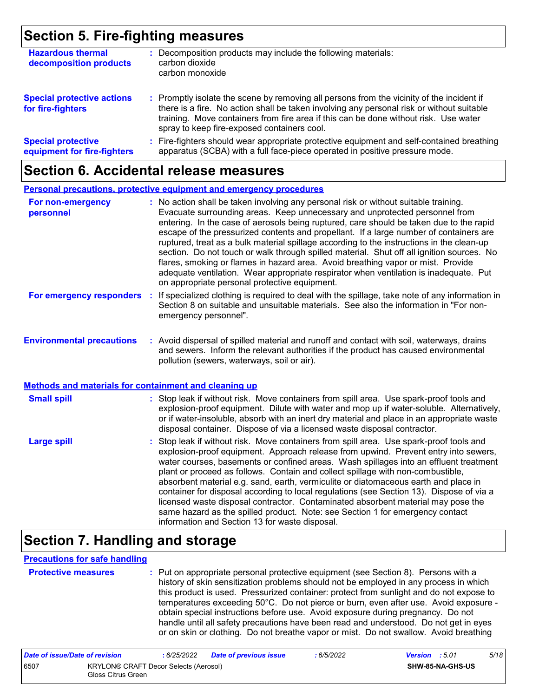## **Section 5. Fire-fighting measures**

| <b>Hazardous thermal</b><br>decomposition products       | Decomposition products may include the following materials:<br>carbon dioxide<br>carbon monoxide                                                                                                                                                                                                                              |
|----------------------------------------------------------|-------------------------------------------------------------------------------------------------------------------------------------------------------------------------------------------------------------------------------------------------------------------------------------------------------------------------------|
| <b>Special protective actions</b><br>for fire-fighters   | : Promptly isolate the scene by removing all persons from the vicinity of the incident if<br>there is a fire. No action shall be taken involving any personal risk or without suitable<br>training. Move containers from fire area if this can be done without risk. Use water<br>spray to keep fire-exposed containers cool. |
| <b>Special protective</b><br>equipment for fire-fighters | : Fire-fighters should wear appropriate protective equipment and self-contained breathing<br>apparatus (SCBA) with a full face-piece operated in positive pressure mode.                                                                                                                                                      |

### **Section 6. Accidental release measures**

|                                                                                                  | <b>Personal precautions, protective equipment and emergency procedures</b>                                                                                                                                                                                                                                                                                                                                                                                                                                                                                                                                                                                                                                                                                                       |
|--------------------------------------------------------------------------------------------------|----------------------------------------------------------------------------------------------------------------------------------------------------------------------------------------------------------------------------------------------------------------------------------------------------------------------------------------------------------------------------------------------------------------------------------------------------------------------------------------------------------------------------------------------------------------------------------------------------------------------------------------------------------------------------------------------------------------------------------------------------------------------------------|
| For non-emergency<br>personnel                                                                   | : No action shall be taken involving any personal risk or without suitable training.<br>Evacuate surrounding areas. Keep unnecessary and unprotected personnel from<br>entering. In the case of aerosols being ruptured, care should be taken due to the rapid<br>escape of the pressurized contents and propellant. If a large number of containers are<br>ruptured, treat as a bulk material spillage according to the instructions in the clean-up<br>section. Do not touch or walk through spilled material. Shut off all ignition sources. No<br>flares, smoking or flames in hazard area. Avoid breathing vapor or mist. Provide<br>adequate ventilation. Wear appropriate respirator when ventilation is inadequate. Put<br>on appropriate personal protective equipment. |
| For emergency responders                                                                         | : If specialized clothing is required to deal with the spillage, take note of any information in<br>Section 8 on suitable and unsuitable materials. See also the information in "For non-<br>emergency personnel".                                                                                                                                                                                                                                                                                                                                                                                                                                                                                                                                                               |
| <b>Environmental precautions</b><br><b>Methods and materials for containment and cleaning up</b> | : Avoid dispersal of spilled material and runoff and contact with soil, waterways, drains<br>and sewers. Inform the relevant authorities if the product has caused environmental<br>pollution (sewers, waterways, soil or air).                                                                                                                                                                                                                                                                                                                                                                                                                                                                                                                                                  |
|                                                                                                  |                                                                                                                                                                                                                                                                                                                                                                                                                                                                                                                                                                                                                                                                                                                                                                                  |
| <b>Small spill</b>                                                                               | : Stop leak if without risk. Move containers from spill area. Use spark-proof tools and<br>explosion-proof equipment. Dilute with water and mop up if water-soluble. Alternatively,<br>or if water-insoluble, absorb with an inert dry material and place in an appropriate waste<br>disposal container. Dispose of via a licensed waste disposal contractor.                                                                                                                                                                                                                                                                                                                                                                                                                    |
| <b>Large spill</b>                                                                               | Stop leak if without risk. Move containers from spill area. Use spark-proof tools and<br>explosion-proof equipment. Approach release from upwind. Prevent entry into sewers,<br>water courses, basements or confined areas. Wash spillages into an effluent treatment<br>plant or proceed as follows. Contain and collect spillage with non-combustible,<br>absorbent material e.g. sand, earth, vermiculite or diatomaceous earth and place in<br>container for disposal according to local regulations (see Section 13). Dispose of via a<br>licensed waste disposal contractor. Contaminated absorbent material may pose the<br>same hazard as the spilled product. Note: see Section 1 for emergency contact<br>information and Section 13 for waste disposal.               |

## **Section 7. Handling and storage**

#### **Precautions for safe handling**

**Protective measures :** Put on appropriate personal protective equipment (see Section 8). Persons with a history of skin sensitization problems should not be employed in any process in which this product is used. Pressurized container: protect from sunlight and do not expose to temperatures exceeding 50°C. Do not pierce or burn, even after use. Avoid exposure obtain special instructions before use. Avoid exposure during pregnancy. Do not handle until all safety precautions have been read and understood. Do not get in eyes or on skin or clothing. Do not breathe vapor or mist. Do not swallow. Avoid breathing

| Date of issue/Date of revision |                                                             | : 6/25/2022 | Date of previous issue | : 6/5/2022 | <b>Version</b> : 5.01 | 5/18 |
|--------------------------------|-------------------------------------------------------------|-------------|------------------------|------------|-----------------------|------|
| 6507                           | KRYLON® CRAFT Decor Selects (Aerosol)<br>Gloss Citrus Green |             |                        |            | SHW-85-NA-GHS-US      |      |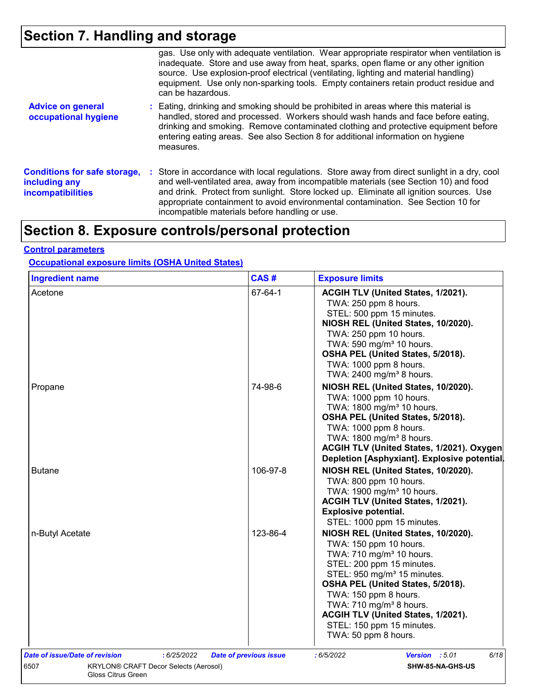# **Section 7. Handling and storage**

|                                                                                  | gas. Use only with adequate ventilation. Wear appropriate respirator when ventilation is<br>inadequate. Store and use away from heat, sparks, open flame or any other ignition<br>source. Use explosion-proof electrical (ventilating, lighting and material handling)<br>equipment. Use only non-sparking tools. Empty containers retain product residue and<br>can be hazardous.                                   |
|----------------------------------------------------------------------------------|----------------------------------------------------------------------------------------------------------------------------------------------------------------------------------------------------------------------------------------------------------------------------------------------------------------------------------------------------------------------------------------------------------------------|
| <b>Advice on general</b><br>occupational hygiene                                 | : Eating, drinking and smoking should be prohibited in areas where this material is<br>handled, stored and processed. Workers should wash hands and face before eating,<br>drinking and smoking. Remove contaminated clothing and protective equipment before<br>entering eating areas. See also Section 8 for additional information on hygiene<br>measures.                                                        |
| <b>Conditions for safe storage,</b><br>including any<br><b>incompatibilities</b> | : Store in accordance with local regulations. Store away from direct sunlight in a dry, cool<br>and well-ventilated area, away from incompatible materials (see Section 10) and food<br>and drink. Protect from sunlight. Store locked up. Eliminate all ignition sources. Use<br>appropriate containment to avoid environmental contamination. See Section 10 for<br>incompatible materials before handling or use. |

# **Section 8. Exposure controls/personal protection**

#### **Control parameters**

#### **Occupational exposure limits (OSHA United States)**

| <b>Ingredient name</b>                                              | CAS#                          | <b>Exposure limits</b>                                                                                                                                                                                                                                                                                                                                                       |
|---------------------------------------------------------------------|-------------------------------|------------------------------------------------------------------------------------------------------------------------------------------------------------------------------------------------------------------------------------------------------------------------------------------------------------------------------------------------------------------------------|
| Acetone                                                             | 67-64-1                       | ACGIH TLV (United States, 1/2021).<br>TWA: 250 ppm 8 hours.<br>STEL: 500 ppm 15 minutes.<br>NIOSH REL (United States, 10/2020).<br>TWA: 250 ppm 10 hours.<br>TWA: 590 mg/m <sup>3</sup> 10 hours.<br>OSHA PEL (United States, 5/2018).<br>TWA: 1000 ppm 8 hours.<br>TWA: 2400 mg/m <sup>3</sup> 8 hours.                                                                     |
| Propane                                                             | 74-98-6                       | NIOSH REL (United States, 10/2020).<br>TWA: 1000 ppm 10 hours.<br>TWA: 1800 mg/m <sup>3</sup> 10 hours.<br>OSHA PEL (United States, 5/2018).<br>TWA: 1000 ppm 8 hours.<br>TWA: 1800 mg/m <sup>3</sup> 8 hours.<br>ACGIH TLV (United States, 1/2021). Oxygen<br>Depletion [Asphyxiant]. Explosive potential.                                                                  |
| <b>Butane</b>                                                       | 106-97-8                      | NIOSH REL (United States, 10/2020).<br>TWA: 800 ppm 10 hours.<br>TWA: 1900 mg/m <sup>3</sup> 10 hours.<br>ACGIH TLV (United States, 1/2021).<br><b>Explosive potential.</b><br>STEL: 1000 ppm 15 minutes.                                                                                                                                                                    |
| n-Butyl Acetate                                                     | 123-86-4                      | NIOSH REL (United States, 10/2020).<br>TWA: 150 ppm 10 hours.<br>TWA: 710 mg/m <sup>3</sup> 10 hours.<br>STEL: 200 ppm 15 minutes.<br>STEL: 950 mg/m <sup>3</sup> 15 minutes.<br>OSHA PEL (United States, 5/2018).<br>TWA: 150 ppm 8 hours.<br>TWA: $710 \text{ mg/m}^3$ 8 hours.<br>ACGIH TLV (United States, 1/2021).<br>STEL: 150 ppm 15 minutes.<br>TWA: 50 ppm 8 hours. |
| Date of issue/Date of revision<br>:6/25/2022                        | <b>Date of previous issue</b> | Version : 5.01<br>6/18<br>:6/5/2022                                                                                                                                                                                                                                                                                                                                          |
| KRYLON® CRAFT Decor Selects (Aerosol)<br>6507<br>Gloss Citrus Green |                               | <b>SHW-85-NA-GHS-US</b>                                                                                                                                                                                                                                                                                                                                                      |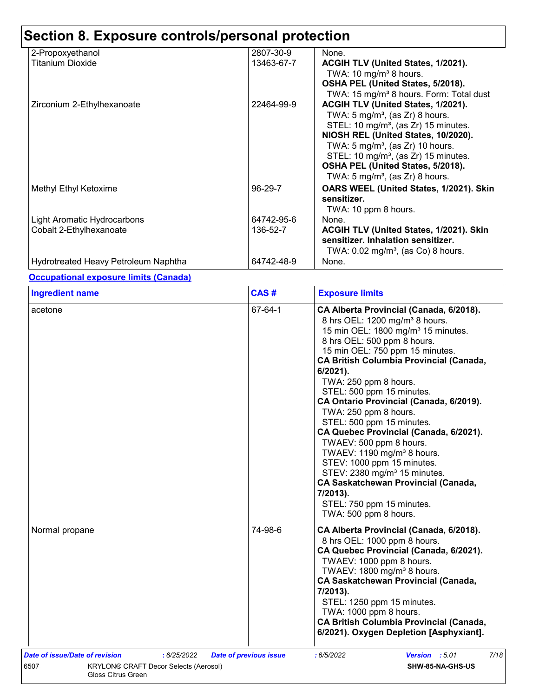| 2-Propoxyethanol                     | 2807-30-9  | None.                                               |
|--------------------------------------|------------|-----------------------------------------------------|
| Titanium Dioxide                     | 13463-67-7 | ACGIH TLV (United States, 1/2021).                  |
|                                      |            | TWA: 10 mg/m <sup>3</sup> 8 hours.                  |
|                                      |            | OSHA PEL (United States, 5/2018).                   |
|                                      |            | TWA: 15 mg/m <sup>3</sup> 8 hours. Form: Total dust |
| Zirconium 2-Ethylhexanoate           | 22464-99-9 | ACGIH TLV (United States, 1/2021).                  |
|                                      |            | TWA: 5 mg/m <sup>3</sup> , (as Zr) 8 hours.         |
|                                      |            | STEL: 10 mg/m <sup>3</sup> , (as Zr) 15 minutes.    |
|                                      |            | NIOSH REL (United States, 10/2020).                 |
|                                      |            | TWA: $5 \text{ mg/m}^3$ , (as Zr) 10 hours.         |
|                                      |            | STEL: 10 mg/m <sup>3</sup> , (as Zr) 15 minutes.    |
|                                      |            | OSHA PEL (United States, 5/2018).                   |
|                                      |            | TWA: 5 mg/m <sup>3</sup> , (as Zr) 8 hours.         |
| Methyl Ethyl Ketoxime                | 96-29-7    | OARS WEEL (United States, 1/2021). Skin             |
|                                      |            | sensitizer.                                         |
|                                      |            | TWA: 10 ppm 8 hours.                                |
| Light Aromatic Hydrocarbons          | 64742-95-6 | None.                                               |
| Cobalt 2-Ethylhexanoate              | 136-52-7   | <b>ACGIH TLV (United States, 1/2021). Skin</b>      |
|                                      |            | sensitizer. Inhalation sensitizer.                  |
|                                      |            | TWA: $0.02 \text{ mg/m}^3$ , (as Co) 8 hours.       |
| Hydrotreated Heavy Petroleum Naphtha | 64742-48-9 | None.                                               |

**Occupational exposure limits (Canada)**

| <b>Ingredient name</b> | CAS#    | <b>Exposure limits</b>                                                                                                                                                                                                                                                                                                                                                                                                                                                                                                                                                                                                                                                                                                                     |  |  |
|------------------------|---------|--------------------------------------------------------------------------------------------------------------------------------------------------------------------------------------------------------------------------------------------------------------------------------------------------------------------------------------------------------------------------------------------------------------------------------------------------------------------------------------------------------------------------------------------------------------------------------------------------------------------------------------------------------------------------------------------------------------------------------------------|--|--|
| acetone                | 67-64-1 | CA Alberta Provincial (Canada, 6/2018).<br>8 hrs OEL: 1200 mg/m <sup>3</sup> 8 hours.<br>15 min OEL: 1800 mg/m <sup>3</sup> 15 minutes.<br>8 hrs OEL: 500 ppm 8 hours.<br>15 min OEL: 750 ppm 15 minutes.<br><b>CA British Columbia Provincial (Canada,</b><br>$6/2021$ ).<br>TWA: 250 ppm 8 hours.<br>STEL: 500 ppm 15 minutes.<br>CA Ontario Provincial (Canada, 6/2019).<br>TWA: 250 ppm 8 hours.<br>STEL: 500 ppm 15 minutes.<br>CA Quebec Provincial (Canada, 6/2021).<br>TWAEV: 500 ppm 8 hours.<br>TWAEV: 1190 mg/m <sup>3</sup> 8 hours.<br>STEV: 1000 ppm 15 minutes.<br>STEV: 2380 mg/m <sup>3</sup> 15 minutes.<br><b>CA Saskatchewan Provincial (Canada,</b><br>7/2013).<br>STEL: 750 ppm 15 minutes.<br>TWA: 500 ppm 8 hours. |  |  |
| Normal propane         | 74-98-6 | CA Alberta Provincial (Canada, 6/2018).<br>8 hrs OEL: 1000 ppm 8 hours.<br>CA Quebec Provincial (Canada, 6/2021).<br>TWAEV: 1000 ppm 8 hours.<br>TWAEV: 1800 mg/m <sup>3</sup> 8 hours.<br><b>CA Saskatchewan Provincial (Canada,</b><br>7/2013).<br>STEL: 1250 ppm 15 minutes.<br>TWA: 1000 ppm 8 hours.<br><b>CA British Columbia Provincial (Canada,</b><br>6/2021). Oxygen Depletion [Asphyxiant].                                                                                                                                                                                                                                                                                                                                     |  |  |
|                        |         |                                                                                                                                                                                                                                                                                                                                                                                                                                                                                                                                                                                                                                                                                                                                            |  |  |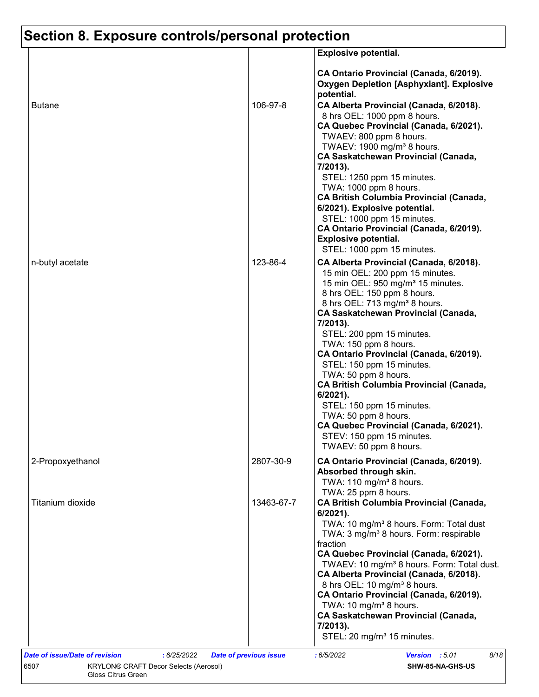|                  |            | <b>Explosive potential.</b>                                                                                                                                                                                                                                                                                                                                                                                                                                                                                                                                                                                                                 |
|------------------|------------|---------------------------------------------------------------------------------------------------------------------------------------------------------------------------------------------------------------------------------------------------------------------------------------------------------------------------------------------------------------------------------------------------------------------------------------------------------------------------------------------------------------------------------------------------------------------------------------------------------------------------------------------|
| <b>Butane</b>    | 106-97-8   | CA Ontario Provincial (Canada, 6/2019).<br><b>Oxygen Depletion [Asphyxiant]. Explosive</b><br>potential.<br>CA Alberta Provincial (Canada, 6/2018).<br>8 hrs OEL: 1000 ppm 8 hours.<br>CA Quebec Provincial (Canada, 6/2021).<br>TWAEV: 800 ppm 8 hours.<br>TWAEV: 1900 mg/m <sup>3</sup> 8 hours.<br><b>CA Saskatchewan Provincial (Canada,</b><br>7/2013).                                                                                                                                                                                                                                                                                |
|                  |            | STEL: 1250 ppm 15 minutes.<br>TWA: 1000 ppm 8 hours.<br><b>CA British Columbia Provincial (Canada,</b><br>6/2021). Explosive potential.<br>STEL: 1000 ppm 15 minutes.<br>CA Ontario Provincial (Canada, 6/2019).<br><b>Explosive potential.</b><br>STEL: 1000 ppm 15 minutes.                                                                                                                                                                                                                                                                                                                                                               |
| n-butyl acetate  | 123-86-4   | CA Alberta Provincial (Canada, 6/2018).<br>15 min OEL: 200 ppm 15 minutes.<br>15 min OEL: 950 mg/m <sup>3</sup> 15 minutes.<br>8 hrs OEL: 150 ppm 8 hours.<br>8 hrs OEL: 713 mg/m <sup>3</sup> 8 hours.<br><b>CA Saskatchewan Provincial (Canada,</b><br>7/2013).<br>STEL: 200 ppm 15 minutes.<br>TWA: 150 ppm 8 hours.<br>CA Ontario Provincial (Canada, 6/2019).<br>STEL: 150 ppm 15 minutes.<br>TWA: 50 ppm 8 hours.<br><b>CA British Columbia Provincial (Canada,</b><br>6/2021).<br>STEL: 150 ppm 15 minutes.<br>TWA: 50 ppm 8 hours.<br>CA Quebec Provincial (Canada, 6/2021).<br>STEV: 150 ppm 15 minutes.<br>TWAEV: 50 ppm 8 hours. |
| 2-Propoxyethanol | 2807-30-9  | CA Ontario Provincial (Canada, 6/2019).<br>Absorbed through skin.<br>TWA: 110 mg/m <sup>3</sup> 8 hours.<br>TWA: 25 ppm 8 hours.                                                                                                                                                                                                                                                                                                                                                                                                                                                                                                            |
| Titanium dioxide | 13463-67-7 | <b>CA British Columbia Provincial (Canada,</b><br>6/2021).<br>TWA: 10 mg/m <sup>3</sup> 8 hours. Form: Total dust<br>TWA: 3 mg/m <sup>3</sup> 8 hours. Form: respirable<br>fraction<br>CA Quebec Provincial (Canada, 6/2021).<br>TWAEV: 10 mg/m <sup>3</sup> 8 hours. Form: Total dust.<br>CA Alberta Provincial (Canada, 6/2018).<br>8 hrs OEL: 10 mg/m <sup>3</sup> 8 hours.<br>CA Ontario Provincial (Canada, 6/2019).<br>TWA: 10 mg/m <sup>3</sup> 8 hours.<br><b>CA Saskatchewan Provincial (Canada,</b><br>7/2013).<br>STEL: 20 mg/m <sup>3</sup> 15 minutes.                                                                         |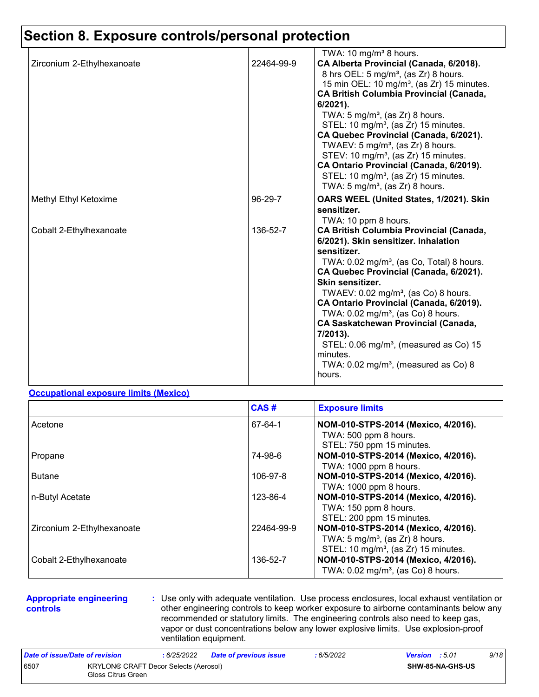|                            |            | TWA: 10 mg/m <sup>3</sup> 8 hours.                                                            |
|----------------------------|------------|-----------------------------------------------------------------------------------------------|
| Zirconium 2-Ethylhexanoate | 22464-99-9 | CA Alberta Provincial (Canada, 6/2018).                                                       |
|                            |            | 8 hrs OEL: 5 mg/m <sup>3</sup> , (as Zr) 8 hours.                                             |
|                            |            | 15 min OEL: 10 mg/m <sup>3</sup> , (as Zr) 15 minutes.                                        |
|                            |            | <b>CA British Columbia Provincial (Canada,</b>                                                |
|                            |            | 6/2021).                                                                                      |
|                            |            | TWA: $5 \text{ mg/m}^3$ , (as Zr) 8 hours.                                                    |
|                            |            | STEL: 10 mg/m <sup>3</sup> , (as Zr) 15 minutes.                                              |
|                            |            | CA Quebec Provincial (Canada, 6/2021).                                                        |
|                            |            | TWAEV: 5 mg/m <sup>3</sup> , (as Zr) 8 hours.                                                 |
|                            |            | STEV: 10 mg/m <sup>3</sup> , (as Zr) 15 minutes.                                              |
|                            |            | CA Ontario Provincial (Canada, 6/2019).                                                       |
|                            |            | STEL: 10 mg/m <sup>3</sup> , (as Zr) 15 minutes.                                              |
|                            |            | TWA: $5 \text{ mg/m}^3$ , (as Zr) 8 hours.                                                    |
| Methyl Ethyl Ketoxime      | 96-29-7    | OARS WEEL (United States, 1/2021). Skin                                                       |
|                            |            | sensitizer.                                                                                   |
|                            |            | TWA: 10 ppm 8 hours.                                                                          |
| Cobalt 2-Ethylhexanoate    | 136-52-7   | <b>CA British Columbia Provincial (Canada,</b>                                                |
|                            |            | 6/2021). Skin sensitizer. Inhalation                                                          |
|                            |            | sensitizer.                                                                                   |
|                            |            | TWA: 0.02 mg/m <sup>3</sup> , (as Co, Total) 8 hours.                                         |
|                            |            | CA Quebec Provincial (Canada, 6/2021).<br>Skin sensitizer.                                    |
|                            |            |                                                                                               |
|                            |            | TWAEV: $0.02$ mg/m <sup>3</sup> , (as Co) 8 hours.<br>CA Ontario Provincial (Canada, 6/2019). |
|                            |            | TWA: $0.02$ mg/m <sup>3</sup> , (as Co) 8 hours.                                              |
|                            |            | <b>CA Saskatchewan Provincial (Canada,</b>                                                    |
|                            |            | 7/2013).                                                                                      |
|                            |            | STEL: 0.06 mg/m <sup>3</sup> , (measured as Co) 15                                            |
|                            |            | minutes.                                                                                      |
|                            |            | TWA: $0.02 \text{ mg/m}^3$ , (measured as Co) 8                                               |
|                            |            | hours.                                                                                        |
|                            |            |                                                                                               |

#### **Occupational exposure limits (Mexico)**

|                            | CAS#       | <b>Exposure limits</b>                                                                                                                |
|----------------------------|------------|---------------------------------------------------------------------------------------------------------------------------------------|
| Acetone                    | 67-64-1    | NOM-010-STPS-2014 (Mexico, 4/2016).<br>TWA: 500 ppm 8 hours.<br>STEL: 750 ppm 15 minutes.                                             |
| Propane                    | 74-98-6    | NOM-010-STPS-2014 (Mexico, 4/2016).<br>TWA: 1000 ppm 8 hours.                                                                         |
| <b>Butane</b>              | 106-97-8   | NOM-010-STPS-2014 (Mexico, 4/2016).<br>TWA: 1000 ppm 8 hours.                                                                         |
| n-Butyl Acetate            | 123-86-4   | NOM-010-STPS-2014 (Mexico, 4/2016).<br>TWA: 150 ppm 8 hours.<br>STEL: 200 ppm 15 minutes.                                             |
| Zirconium 2-Ethylhexanoate | 22464-99-9 | NOM-010-STPS-2014 (Mexico, 4/2016).<br>TWA: $5 \text{ mg/m}^3$ , (as Zr) 8 hours.<br>STEL: 10 mg/m <sup>3</sup> , (as Zr) 15 minutes. |
| Cobalt 2-Ethylhexanoate    | 136-52-7   | NOM-010-STPS-2014 (Mexico, 4/2016).<br>TWA: $0.02$ mg/m <sup>3</sup> , (as Co) 8 hours.                                               |

#### **Appropriate engineering controls**

**:** Use only with adequate ventilation. Use process enclosures, local exhaust ventilation or other engineering controls to keep worker exposure to airborne contaminants below any recommended or statutory limits. The engineering controls also need to keep gas, vapor or dust concentrations below any lower explosive limits. Use explosion-proof ventilation equipment.

| Date of issue/Date of revision |                                                             | : 6/25/2022 | Date of previous issue | : 6/5/2022 | <b>Version</b> : 5.01   |  | 9/18 |
|--------------------------------|-------------------------------------------------------------|-------------|------------------------|------------|-------------------------|--|------|
| 6507                           | KRYLON® CRAFT Decor Selects (Aerosol)<br>Gloss Citrus Green |             |                        |            | <b>SHW-85-NA-GHS-US</b> |  |      |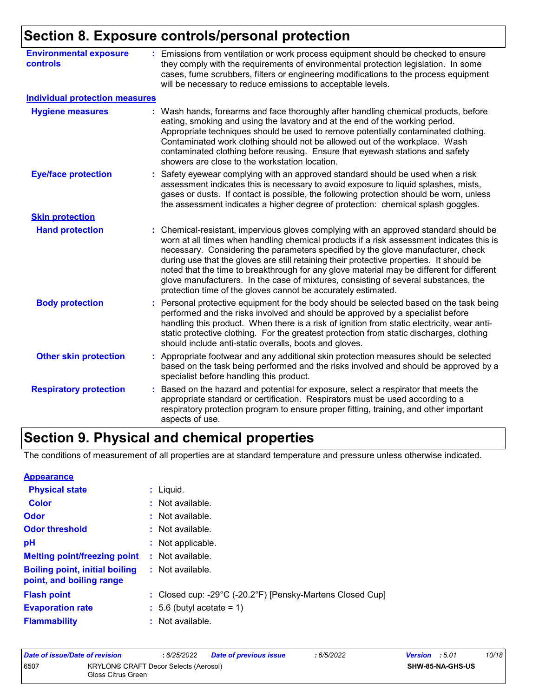| <b>Environmental exposure</b><br><b>controls</b> | : Emissions from ventilation or work process equipment should be checked to ensure<br>they comply with the requirements of environmental protection legislation. In some<br>cases, fume scrubbers, filters or engineering modifications to the process equipment<br>will be necessary to reduce emissions to acceptable levels.                                                                                                                                                                                                                                                                                        |
|--------------------------------------------------|------------------------------------------------------------------------------------------------------------------------------------------------------------------------------------------------------------------------------------------------------------------------------------------------------------------------------------------------------------------------------------------------------------------------------------------------------------------------------------------------------------------------------------------------------------------------------------------------------------------------|
| <b>Individual protection measures</b>            |                                                                                                                                                                                                                                                                                                                                                                                                                                                                                                                                                                                                                        |
| <b>Hygiene measures</b>                          | : Wash hands, forearms and face thoroughly after handling chemical products, before<br>eating, smoking and using the lavatory and at the end of the working period.<br>Appropriate techniques should be used to remove potentially contaminated clothing.<br>Contaminated work clothing should not be allowed out of the workplace. Wash<br>contaminated clothing before reusing. Ensure that eyewash stations and safety<br>showers are close to the workstation location.                                                                                                                                            |
| <b>Eye/face protection</b>                       | Safety eyewear complying with an approved standard should be used when a risk<br>assessment indicates this is necessary to avoid exposure to liquid splashes, mists,<br>gases or dusts. If contact is possible, the following protection should be worn, unless<br>the assessment indicates a higher degree of protection: chemical splash goggles.                                                                                                                                                                                                                                                                    |
| <b>Skin protection</b>                           |                                                                                                                                                                                                                                                                                                                                                                                                                                                                                                                                                                                                                        |
| <b>Hand protection</b>                           | : Chemical-resistant, impervious gloves complying with an approved standard should be<br>worn at all times when handling chemical products if a risk assessment indicates this is<br>necessary. Considering the parameters specified by the glove manufacturer, check<br>during use that the gloves are still retaining their protective properties. It should be<br>noted that the time to breakthrough for any glove material may be different for different<br>glove manufacturers. In the case of mixtures, consisting of several substances, the<br>protection time of the gloves cannot be accurately estimated. |
| <b>Body protection</b>                           | : Personal protective equipment for the body should be selected based on the task being<br>performed and the risks involved and should be approved by a specialist before<br>handling this product. When there is a risk of ignition from static electricity, wear anti-<br>static protective clothing. For the greatest protection from static discharges, clothing<br>should include anti-static overalls, boots and gloves.                                                                                                                                                                                         |
| <b>Other skin protection</b>                     | : Appropriate footwear and any additional skin protection measures should be selected<br>based on the task being performed and the risks involved and should be approved by a<br>specialist before handling this product.                                                                                                                                                                                                                                                                                                                                                                                              |
| <b>Respiratory protection</b>                    | Based on the hazard and potential for exposure, select a respirator that meets the<br>appropriate standard or certification. Respirators must be used according to a<br>respiratory protection program to ensure proper fitting, training, and other important<br>aspects of use.                                                                                                                                                                                                                                                                                                                                      |

# **Section 9. Physical and chemical properties**

The conditions of measurement of all properties are at standard temperature and pressure unless otherwise indicated.

| <b>Appearance</b>                                                 |                                                           |
|-------------------------------------------------------------------|-----------------------------------------------------------|
| <b>Physical state</b>                                             | $:$ Liquid.                                               |
| <b>Color</b>                                                      | : Not available.                                          |
| Odor                                                              | : Not available.                                          |
| <b>Odor threshold</b>                                             | : Not available.                                          |
| pH                                                                | : Not applicable.                                         |
| <b>Melting point/freezing point</b>                               | $\therefore$ Not available.                               |
| <b>Boiling point, initial boiling</b><br>point, and boiling range | : Not available.                                          |
| <b>Flash point</b>                                                | : Closed cup: -29°C (-20.2°F) [Pensky-Martens Closed Cup] |
| <b>Evaporation rate</b>                                           | $\div$ 5.6 (butyl acetate = 1)                            |
| <b>Flammability</b>                                               | : Not available.                                          |

| Date of issue/Date of revision |                                                             | : 6/25/2022 | <b>Date of previous issue</b> | : 6/5/2022 | <b>Version</b> : 5.01 |                  | 10/18 |
|--------------------------------|-------------------------------------------------------------|-------------|-------------------------------|------------|-----------------------|------------------|-------|
| 6507                           | KRYLON® CRAFT Decor Selects (Aerosol)<br>Gloss Citrus Green |             |                               |            |                       | SHW-85-NA-GHS-US |       |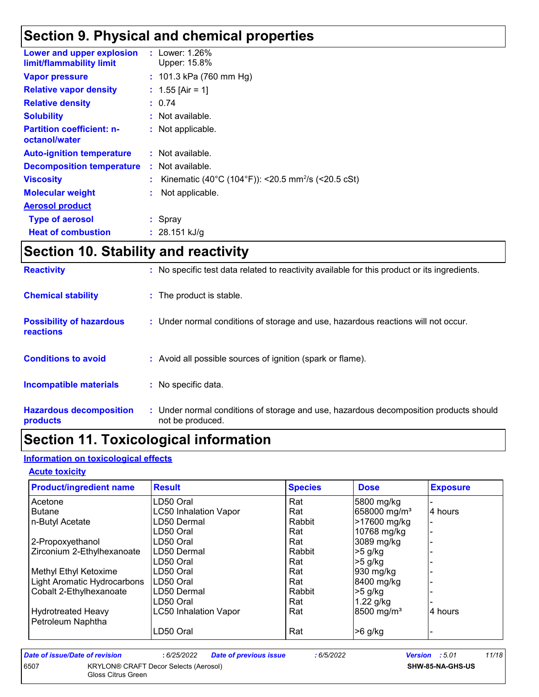# **Section 9. Physical and chemical properties**

| Lower and upper explosion<br>limit/flammability limit | : Lower: 1.26%<br>Upper: 15.8%                                 |
|-------------------------------------------------------|----------------------------------------------------------------|
| <b>Vapor pressure</b>                                 | : $101.3$ kPa (760 mm Hg)                                      |
| <b>Relative vapor density</b>                         | : $1.55$ [Air = 1]                                             |
| <b>Relative density</b>                               | : 0.74                                                         |
| <b>Solubility</b>                                     | : Not available.                                               |
| <b>Partition coefficient: n-</b><br>octanol/water     | : Not applicable.                                              |
| <b>Auto-ignition temperature</b>                      | : Not available.                                               |
| <b>Decomposition temperature</b>                      | $:$ Not available.                                             |
| <b>Viscosity</b>                                      | Kinematic (40°C (104°F)): <20.5 mm <sup>2</sup> /s (<20.5 cSt) |
| <b>Molecular weight</b>                               | Not applicable.                                                |
| <b>Aerosol product</b>                                |                                                                |
| <b>Type of aerosol</b>                                | : Spray                                                        |
| <b>Heat of combustion</b>                             | : $28.151 \text{ kJ/g}$                                        |

# **Section 10. Stability and reactivity**

| <b>Hazardous decomposition</b><br>products   | : Under normal conditions of storage and use, hazardous decomposition products should<br>not be produced. |
|----------------------------------------------|-----------------------------------------------------------------------------------------------------------|
| <b>Incompatible materials</b>                | : No specific data.                                                                                       |
| <b>Conditions to avoid</b>                   | : Avoid all possible sources of ignition (spark or flame).                                                |
| <b>Possibility of hazardous</b><br>reactions | : Under normal conditions of storage and use, hazardous reactions will not occur.                         |
| <b>Chemical stability</b>                    | : The product is stable.                                                                                  |
| <b>Reactivity</b>                            | : No specific test data related to reactivity available for this product or its ingredients.              |

## **Section 11. Toxicological information**

### **Information on toxicological effects**

#### **Acute toxicity**

| <b>Product/ingredient name</b> | <b>Result</b>                | <b>Species</b> | <b>Dose</b>              | <b>Exposure</b> |
|--------------------------------|------------------------------|----------------|--------------------------|-----------------|
| Acetone                        | LD50 Oral                    | Rat            | 5800 mg/kg               |                 |
| <b>Butane</b>                  | <b>LC50 Inhalation Vapor</b> | Rat            | 658000 mg/m <sup>3</sup> | 4 hours         |
| n-Butyl Acetate                | LD50 Dermal                  | Rabbit         | >17600 mg/kg             |                 |
|                                | LD50 Oral                    | Rat            | 10768 mg/kg              |                 |
| 2-Propoxyethanol               | LD50 Oral                    | Rat            | 3089 mg/kg               |                 |
| Zirconium 2-Ethylhexanoate     | LD50 Dermal                  | Rabbit         | $>5$ g/kg                |                 |
|                                | LD50 Oral                    | Rat            | $>5$ g/kg                |                 |
| Methyl Ethyl Ketoxime          | LD50 Oral                    | Rat            | 930 mg/kg                |                 |
| Light Aromatic Hydrocarbons    | LD50 Oral                    | Rat            | 8400 mg/kg               |                 |
| Cobalt 2-Ethylhexanoate        | LD50 Dermal                  | Rabbit         | $>5$ g/kg                |                 |
|                                | LD50 Oral                    | Rat            | $1.22$ g/kg              |                 |
| <b>Hydrotreated Heavy</b>      | <b>LC50 Inhalation Vapor</b> | Rat            | 8500 mg/m <sup>3</sup>   | 4 hours         |
| Petroleum Naphtha              |                              |                |                          |                 |
|                                | LD50 Oral                    | Rat            | $>6$ g/kg                |                 |

| Date of issue/Date of revision |                                                                    | : 6/25/2022 | <b>Date of previous issue</b> | : 6/5/2022 | <b>Version</b> : 5.01 |                         | 11/18 |
|--------------------------------|--------------------------------------------------------------------|-------------|-------------------------------|------------|-----------------------|-------------------------|-------|
| 6507                           | <b>KRYLON® CRAFT Decor Selects (Aerosol)</b><br>Gloss Citrus Green |             |                               |            |                       | <b>SHW-85-NA-GHS-US</b> |       |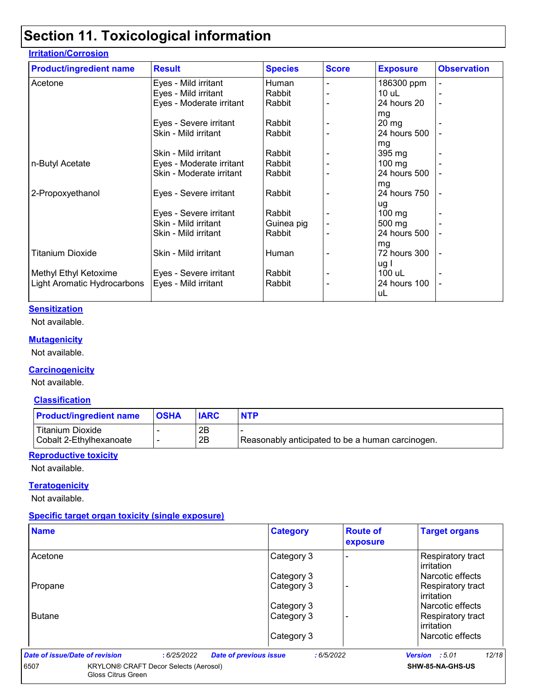## **Section 11. Toxicological information**

| <b>Product/ingredient name</b> | <b>Result</b>            | <b>Species</b> | <b>Score</b>   | <b>Exposure</b>  | <b>Observation</b> |
|--------------------------------|--------------------------|----------------|----------------|------------------|--------------------|
| Acetone                        | Eyes - Mild irritant     | Human          |                | 186300 ppm       |                    |
|                                | Eyes - Mild irritant     | Rabbit         |                | $10$ uL          |                    |
|                                | Eyes - Moderate irritant | Rabbit         |                | 24 hours 20      |                    |
|                                |                          |                |                | mg               |                    |
|                                | Eyes - Severe irritant   | Rabbit         |                | $20 \, mg$       |                    |
|                                | Skin - Mild irritant     | Rabbit         |                | 24 hours 500     |                    |
|                                |                          |                |                | mg               |                    |
|                                | Skin - Mild irritant     | Rabbit         |                | 395 mg           |                    |
| n-Butyl Acetate                | Eyes - Moderate irritant | Rabbit         |                | $100$ mg         |                    |
|                                | Skin - Moderate irritant | Rabbit         |                | 24 hours 500     |                    |
|                                |                          |                |                | mg               |                    |
| 2-Propoxyethanol               | Eyes - Severe irritant   | Rabbit         |                | 24 hours 750     |                    |
|                                |                          |                |                | ug               |                    |
|                                | Eyes - Severe irritant   | Rabbit         |                | $100 \text{ mg}$ |                    |
|                                | Skin - Mild irritant     | Guinea pig     |                | 500 mg           |                    |
|                                | Skin - Mild irritant     | Rabbit         |                | 24 hours 500     |                    |
|                                |                          |                |                | mg               |                    |
| <b>Titanium Dioxide</b>        | Skin - Mild irritant     | Human          | $\blacksquare$ | 72 hours 300     |                    |
|                                |                          |                |                | ug I             |                    |
| Methyl Ethyl Ketoxime          | Eyes - Severe irritant   | Rabbit         |                | 100 uL           |                    |
| Light Aromatic Hydrocarbons    | Eyes - Mild irritant     | Rabbit         |                | 24 hours 100     |                    |
|                                |                          |                |                | uL               |                    |

#### **Sensitization**

Not available.

#### **Mutagenicity**

Not available.

#### **Carcinogenicity**

Not available.

#### **Classification**

| <b>Product/ingredient name</b> | <b>OSHA</b> | <b>IARC</b> | <b>NTP</b>                                       |
|--------------------------------|-------------|-------------|--------------------------------------------------|
| Titanium Dioxide               |             | 2Β          |                                                  |
| Cobalt 2-Ethylhexanoate        |             | 2B          | Reasonably anticipated to be a human carcinogen. |

#### **Reproductive toxicity**

Not available.

#### **Teratogenicity**

Not available.

#### **Specific target organ toxicity (single exposure)**

| <b>Name</b>                       |                                              | <b>Category</b>                            | <b>Route of</b><br>exposure | <b>Target organs</b>                   |
|-----------------------------------|----------------------------------------------|--------------------------------------------|-----------------------------|----------------------------------------|
| Acetone                           |                                              | Category 3                                 |                             | Respiratory tract<br>irritation        |
|                                   |                                              | Category 3                                 |                             | Narcotic effects                       |
| Propane                           |                                              | Category 3                                 |                             | Respiratory tract<br>irritation        |
|                                   |                                              | Category 3                                 |                             | Narcotic effects                       |
| <b>Butane</b>                     |                                              | Category 3                                 |                             | Respiratory tract<br><b>irritation</b> |
|                                   |                                              | Category 3                                 |                             | l Narcotic effects                     |
| Date of issue/Date of revision    | :6/25/2022                                   | <b>Date of previous issue</b><br>:6/5/2022 |                             | 12/18<br>Version : 5.01                |
| 6507<br><b>Gloss Citrus Green</b> | <b>KRYLON® CRAFT Decor Selects (Aerosol)</b> |                                            |                             | SHW-85-NA-GHS-US                       |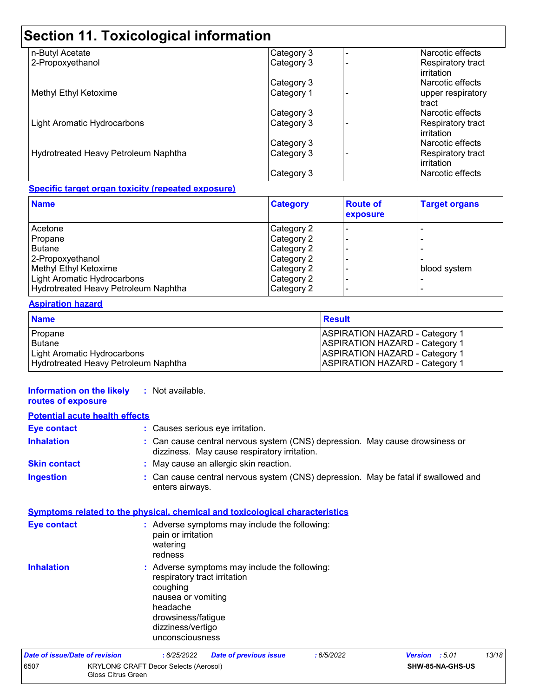# **Section 11. Toxicological information**

| n-Butyl Acetate                      | Category 3 | Narcotic effects                |
|--------------------------------------|------------|---------------------------------|
| 2-Propoxyethanol                     | Category 3 | Respiratory tract<br>irritation |
|                                      | Category 3 | Narcotic effects                |
| Methyl Ethyl Ketoxime                | Category 1 | upper respiratory<br>tract      |
|                                      | Category 3 | Narcotic effects                |
| <b>Light Aromatic Hydrocarbons</b>   | Category 3 | Respiratory tract<br>irritation |
|                                      | Category 3 | Narcotic effects                |
| Hydrotreated Heavy Petroleum Naphtha | Category 3 | Respiratory tract<br>irritation |
|                                      | Category 3 | Narcotic effects                |

#### **Specific target organ toxicity (repeated exposure)**

| <b>Name</b>                          | <b>Category</b> | <b>Route of</b><br>exposure | <b>Target organs</b> |
|--------------------------------------|-----------------|-----------------------------|----------------------|
| Acetone                              | Category 2      |                             |                      |
| Propane                              | Category 2      |                             |                      |
| <b>Butane</b>                        | Category 2      |                             |                      |
| 2-Propoxyethanol                     | Category 2      |                             |                      |
| Methyl Ethyl Ketoxime                | Category 2      |                             | blood system         |
| Light Aromatic Hydrocarbons          | Category 2      |                             |                      |
| Hydrotreated Heavy Petroleum Naphtha | Category 2      |                             |                      |

#### **Aspiration hazard**

| <b>Name</b>                          | <b>Result</b>                         |
|--------------------------------------|---------------------------------------|
| Propane                              | <b>ASPIRATION HAZARD - Category 1</b> |
| <b>Butane</b>                        | <b>ASPIRATION HAZARD - Category 1</b> |
| Light Aromatic Hydrocarbons          | <b>ASPIRATION HAZARD - Category 1</b> |
| Hydrotreated Heavy Petroleum Naphtha | <b>ASPIRATION HAZARD - Category 1</b> |

#### **Information on the likely :** Not available. **routes of exposure**

| <b>Potential acute health effects</b> |                                                             |                                                                                                                                          |                                                                                     |           |                                                                                    |       |
|---------------------------------------|-------------------------------------------------------------|------------------------------------------------------------------------------------------------------------------------------------------|-------------------------------------------------------------------------------------|-----------|------------------------------------------------------------------------------------|-------|
| <b>Eye contact</b>                    |                                                             |                                                                                                                                          | : Causes serious eye irritation.                                                    |           |                                                                                    |       |
| <b>Inhalation</b>                     |                                                             |                                                                                                                                          | dizziness. May cause respiratory irritation.                                        |           | : Can cause central nervous system (CNS) depression. May cause drowsiness or       |       |
| <b>Skin contact</b>                   |                                                             |                                                                                                                                          | : May cause an allergic skin reaction.                                              |           |                                                                                    |       |
| <b>Ingestion</b>                      |                                                             | enters airways.                                                                                                                          |                                                                                     |           | : Can cause central nervous system (CNS) depression. May be fatal if swallowed and |       |
|                                       |                                                             |                                                                                                                                          | <u>Symptoms related to the physical, chemical and toxicological characteristics</u> |           |                                                                                    |       |
| <b>Eye contact</b>                    |                                                             | pain or irritation<br>watering<br>redness                                                                                                | : Adverse symptoms may include the following:                                       |           |                                                                                    |       |
| <b>Inhalation</b>                     |                                                             | respiratory tract irritation<br>coughing<br>nausea or vomiting<br>headache<br>drowsiness/fatigue<br>dizziness/vertigo<br>unconsciousness | : Adverse symptoms may include the following:                                       |           |                                                                                    |       |
| Date of issue/Date of revision        |                                                             | :6/25/2022                                                                                                                               | <b>Date of previous issue</b>                                                       | :6/5/2022 | Version : 5.01                                                                     | 13/18 |
| 6507                                  | KRYLON® CRAFT Decor Selects (Aerosol)<br>Gloss Citrus Green |                                                                                                                                          |                                                                                     |           | SHW-85-NA-GHS-US                                                                   |       |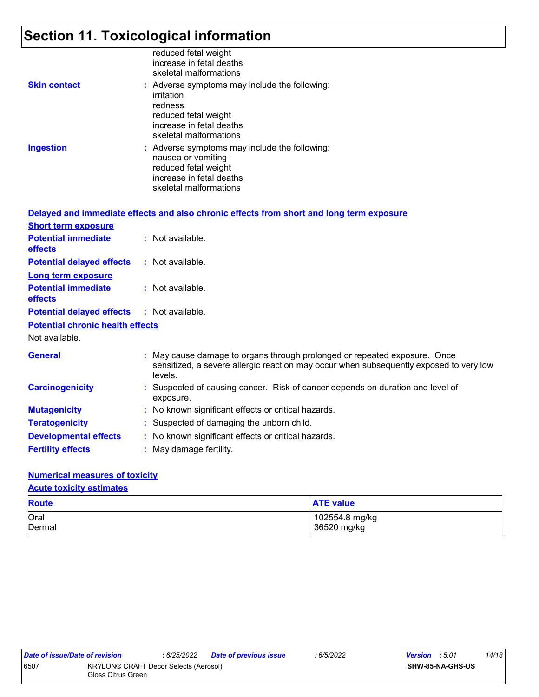# **Section 11. Toxicological information**

|                     | reduced fetal weight<br>increase in fetal deaths<br>skeletal malformations                                                                           |
|---------------------|------------------------------------------------------------------------------------------------------------------------------------------------------|
| <b>Skin contact</b> | : Adverse symptoms may include the following:<br>irritation<br>redness<br>reduced fetal weight<br>increase in fetal deaths<br>skeletal malformations |
| <b>Ingestion</b>    | : Adverse symptoms may include the following:<br>nausea or vomiting<br>reduced fetal weight<br>increase in fetal deaths<br>skeletal malformations    |

|                                              | Delayed and immediate effects and also chronic effects from short and long term exposure                                                                                       |
|----------------------------------------------|--------------------------------------------------------------------------------------------------------------------------------------------------------------------------------|
| <b>Short term exposure</b>                   |                                                                                                                                                                                |
| <b>Potential immediate</b><br><b>effects</b> | : Not available.                                                                                                                                                               |
| <b>Potential delayed effects</b>             | : Not available.                                                                                                                                                               |
| <b>Long term exposure</b>                    |                                                                                                                                                                                |
| <b>Potential immediate</b><br><b>effects</b> | : Not available.                                                                                                                                                               |
| <b>Potential delayed effects</b>             | : Not available.                                                                                                                                                               |
| <b>Potential chronic health effects</b>      |                                                                                                                                                                                |
| Not available.                               |                                                                                                                                                                                |
| <b>General</b>                               | : May cause damage to organs through prolonged or repeated exposure. Once<br>sensitized, a severe allergic reaction may occur when subsequently exposed to very low<br>levels. |
| <b>Carcinogenicity</b>                       | : Suspected of causing cancer. Risk of cancer depends on duration and level of<br>exposure.                                                                                    |
| <b>Mutagenicity</b>                          | : No known significant effects or critical hazards.                                                                                                                            |
| <b>Teratogenicity</b>                        | : Suspected of damaging the unborn child.                                                                                                                                      |
| <b>Developmental effects</b>                 | : No known significant effects or critical hazards.                                                                                                                            |
| <b>Fertility effects</b>                     | : May damage fertility.                                                                                                                                                        |

#### **Numerical measures of toxicity**

#### **Acute toxicity estimates**

| <b>Route</b> | <b>ATE value</b> |
|--------------|------------------|
| Oral         | 102554.8 mg/kg   |
| Dermal       | 36520 mg/kg      |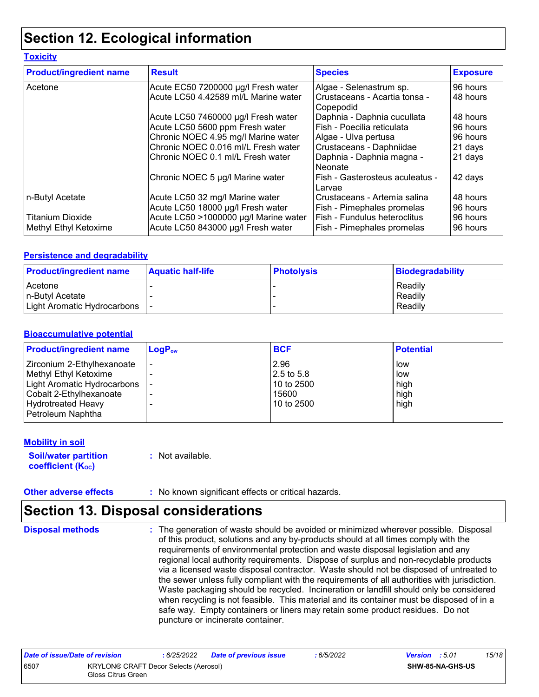## **Section 12. Ecological information**

#### **Toxicity**

| <b>Product/ingredient name</b> | <b>Result</b>                         | <b>Species</b>                             | <b>Exposure</b> |
|--------------------------------|---------------------------------------|--------------------------------------------|-----------------|
| Acetone                        | Acute EC50 7200000 µg/l Fresh water   | Algae - Selenastrum sp.                    | 96 hours        |
|                                | Acute LC50 4.42589 ml/L Marine water  | Crustaceans - Acartia tonsa -<br>Copepodid | 48 hours        |
|                                | Acute LC50 7460000 µg/l Fresh water   | Daphnia - Daphnia cucullata                | 48 hours        |
|                                | Acute LC50 5600 ppm Fresh water       | Fish - Poecilia reticulata                 | 96 hours        |
|                                | Chronic NOEC 4.95 mg/l Marine water   | Algae - Ulva pertusa                       | 96 hours        |
|                                | Chronic NOEC 0.016 ml/L Fresh water   | Crustaceans - Daphniidae                   | 21 days         |
|                                | Chronic NOEC 0.1 ml/L Fresh water     | Daphnia - Daphnia magna -<br>Neonate       | 21 days         |
|                                | Chronic NOEC 5 µg/l Marine water      | Fish - Gasterosteus aculeatus -<br>Larvae  | 42 days         |
| n-Butyl Acetate                | Acute LC50 32 mg/l Marine water       | Crustaceans - Artemia salina               | 48 hours        |
|                                | Acute LC50 18000 µg/l Fresh water     | Fish - Pimephales promelas                 | 96 hours        |
| <b>Titanium Dioxide</b>        | Acute LC50 >1000000 µg/l Marine water | Fish - Fundulus heteroclitus               | 96 hours        |
| Methyl Ethyl Ketoxime          | Acute LC50 843000 µg/l Fresh water    | Fish - Pimephales promelas                 | 96 hours        |

#### **Persistence and degradability**

| <b>Product/ingredient name</b> | <b>Aquatic half-life</b> | <b>Photolysis</b> | Biodegradability |
|--------------------------------|--------------------------|-------------------|------------------|
| Acetone                        |                          |                   | Readily          |
| n-Butyl Acetate                |                          |                   | Readily          |
| Light Aromatic Hydrocarbons    |                          |                   | Readily          |

#### **Bioaccumulative potential**

| <b>Product/ingredient name</b> | $\mathsf{LogP}_\mathsf{ow}$ | <b>BCF</b> | <b>Potential</b> |
|--------------------------------|-----------------------------|------------|------------------|
| Zirconium 2-Ethylhexanoate     |                             | 2.96       | low              |
| Methyl Ethyl Ketoxime          |                             | 2.5 to 5.8 | low              |
| Light Aromatic Hydrocarbons    |                             | 10 to 2500 | high             |
| Cobalt 2-Ethylhexanoate        |                             | 15600      | high             |
| Hydrotreated Heavy             |                             | 10 to 2500 | high             |
| Petroleum Naphtha              |                             |            |                  |

#### **Mobility in soil**

**Soil/water partition coefficient (Koc)** 

**:** Not available.

**Other adverse effects** : No known significant effects or critical hazards.

## **Section 13. Disposal considerations**

**Disposal methods :**

The generation of waste should be avoided or minimized wherever possible. Disposal of this product, solutions and any by-products should at all times comply with the requirements of environmental protection and waste disposal legislation and any regional local authority requirements. Dispose of surplus and non-recyclable products via a licensed waste disposal contractor. Waste should not be disposed of untreated to the sewer unless fully compliant with the requirements of all authorities with jurisdiction. Waste packaging should be recycled. Incineration or landfill should only be considered when recycling is not feasible. This material and its container must be disposed of in a safe way. Empty containers or liners may retain some product residues. Do not puncture or incinerate container.

| Date of issue/Date of revision |                                                                    | : 6/25/2022 | <b>Date of previous issue</b> | : 6/5/2022 | <b>Version</b> : 5.01 |                  | 15/18 |
|--------------------------------|--------------------------------------------------------------------|-------------|-------------------------------|------------|-----------------------|------------------|-------|
| 6507                           | <b>KRYLON® CRAFT Decor Selects (Aerosol)</b><br>Gloss Citrus Green |             |                               |            |                       | SHW-85-NA-GHS-US |       |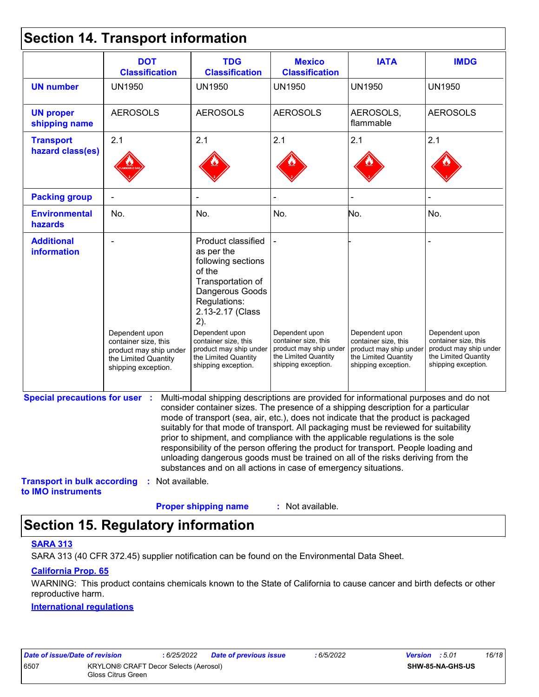### **Section 14. Transport information**

|                                                          | <b>DOT</b><br><b>Classification</b>                                                                             | <b>TDG</b><br><b>Classification</b>                                                                                                                                                                                                                                                                                                                                                                                                                                                                                                                                                                                                                                                 | <b>Mexico</b><br><b>Classification</b>                                                                          | <b>IATA</b>                                                                                                     | <b>IMDG</b>                                                                                                     |
|----------------------------------------------------------|-----------------------------------------------------------------------------------------------------------------|-------------------------------------------------------------------------------------------------------------------------------------------------------------------------------------------------------------------------------------------------------------------------------------------------------------------------------------------------------------------------------------------------------------------------------------------------------------------------------------------------------------------------------------------------------------------------------------------------------------------------------------------------------------------------------------|-----------------------------------------------------------------------------------------------------------------|-----------------------------------------------------------------------------------------------------------------|-----------------------------------------------------------------------------------------------------------------|
| <b>UN number</b>                                         | <b>UN1950</b>                                                                                                   | <b>UN1950</b>                                                                                                                                                                                                                                                                                                                                                                                                                                                                                                                                                                                                                                                                       | <b>UN1950</b>                                                                                                   | <b>UN1950</b>                                                                                                   | <b>UN1950</b>                                                                                                   |
| <b>UN proper</b><br>shipping name                        | <b>AEROSOLS</b>                                                                                                 | <b>AEROSOLS</b>                                                                                                                                                                                                                                                                                                                                                                                                                                                                                                                                                                                                                                                                     | <b>AEROSOLS</b>                                                                                                 | AEROSOLS,<br>flammable                                                                                          | <b>AEROSOLS</b>                                                                                                 |
| <b>Transport</b>                                         | 2.1                                                                                                             | 2.1                                                                                                                                                                                                                                                                                                                                                                                                                                                                                                                                                                                                                                                                                 | 2.1                                                                                                             | 2.1                                                                                                             | 2.1                                                                                                             |
| hazard class(es)                                         |                                                                                                                 |                                                                                                                                                                                                                                                                                                                                                                                                                                                                                                                                                                                                                                                                                     |                                                                                                                 |                                                                                                                 |                                                                                                                 |
| <b>Packing group</b>                                     |                                                                                                                 |                                                                                                                                                                                                                                                                                                                                                                                                                                                                                                                                                                                                                                                                                     |                                                                                                                 |                                                                                                                 |                                                                                                                 |
| <b>Environmental</b><br>hazards                          | No.                                                                                                             | No.                                                                                                                                                                                                                                                                                                                                                                                                                                                                                                                                                                                                                                                                                 | No.                                                                                                             | No.                                                                                                             | No.                                                                                                             |
| <b>Additional</b><br>information                         | Dependent upon<br>container size, this<br>product may ship under<br>the Limited Quantity<br>shipping exception. | Product classified<br>as per the<br>following sections<br>of the<br>Transportation of<br>Dangerous Goods<br>Regulations:<br>2.13-2.17 (Class<br>2).<br>Dependent upon<br>container size, this<br>product may ship under<br>the Limited Quantity<br>shipping exception.                                                                                                                                                                                                                                                                                                                                                                                                              | Dependent upon<br>container size, this<br>product may ship under<br>the Limited Quantity<br>shipping exception. | Dependent upon<br>container size, this<br>product may ship under<br>the Limited Quantity<br>shipping exception. | Dependent upon<br>container size, this<br>product may ship under<br>the Limited Quantity<br>shipping exception. |
| <b>Special precautions for user :</b>                    |                                                                                                                 | Multi-modal shipping descriptions are provided for informational purposes and do not<br>consider container sizes. The presence of a shipping description for a particular<br>mode of transport (sea, air, etc.), does not indicate that the product is packaged<br>suitably for that mode of transport. All packaging must be reviewed for suitability<br>prior to shipment, and compliance with the applicable regulations is the sole<br>responsibility of the person offering the product for transport. People loading and<br>unloading dangerous goods must be trained on all of the risks deriving from the<br>substances and on all actions in case of emergency situations. |                                                                                                                 |                                                                                                                 |                                                                                                                 |
| <b>Transport in bulk according</b><br>to IMO instruments | : Not available.                                                                                                |                                                                                                                                                                                                                                                                                                                                                                                                                                                                                                                                                                                                                                                                                     |                                                                                                                 |                                                                                                                 |                                                                                                                 |
|                                                          |                                                                                                                 | <b>Proper shipping name</b>                                                                                                                                                                                                                                                                                                                                                                                                                                                                                                                                                                                                                                                         | : Not available.                                                                                                |                                                                                                                 |                                                                                                                 |

## **Section 15. Regulatory information**

#### **SARA 313**

SARA 313 (40 CFR 372.45) supplier notification can be found on the Environmental Data Sheet.

#### **California Prop. 65**

WARNING: This product contains chemicals known to the State of California to cause cancer and birth defects or other reproductive harm.

#### **International regulations**

| Date of issue/Date of revision |                                              | : 6/25/2022 | Dat |
|--------------------------------|----------------------------------------------|-------------|-----|
| 3507                           | <b>KRYLON® CRAFT Decor Selects (Aerosol)</b> |             |     |
|                                | Gloss Citrus Green                           |             |     |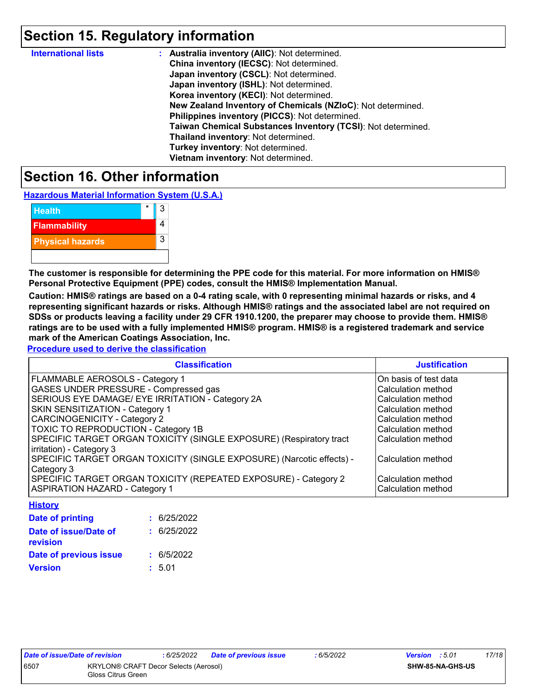## **Section 15. Regulatory information**

| <b>International lists</b> | : Australia inventory (AIIC): Not determined.                |
|----------------------------|--------------------------------------------------------------|
|                            | China inventory (IECSC): Not determined.                     |
|                            | Japan inventory (CSCL): Not determined.                      |
|                            | Japan inventory (ISHL): Not determined.                      |
|                            | Korea inventory (KECI): Not determined.                      |
|                            | New Zealand Inventory of Chemicals (NZIoC): Not determined.  |
|                            | Philippines inventory (PICCS): Not determined.               |
|                            | Taiwan Chemical Substances Inventory (TCSI): Not determined. |
|                            | Thailand inventory: Not determined.                          |
|                            | Turkey inventory: Not determined.                            |
|                            | Vietnam inventory: Not determined.                           |

### **Section 16. Other information**

**Hazardous Material Information System (U.S.A.)**

| <b>Health</b>           | 3 |
|-------------------------|---|
| <b>Flammability</b>     |   |
| <b>Physical hazards</b> | 3 |
|                         |   |

**The customer is responsible for determining the PPE code for this material. For more information on HMIS® Personal Protective Equipment (PPE) codes, consult the HMIS® Implementation Manual.**

**Caution: HMIS® ratings are based on a 0-4 rating scale, with 0 representing minimal hazards or risks, and 4 representing significant hazards or risks. Although HMIS® ratings and the associated label are not required on SDSs or products leaving a facility under 29 CFR 1910.1200, the preparer may choose to provide them. HMIS® ratings are to be used with a fully implemented HMIS® program. HMIS® is a registered trademark and service mark of the American Coatings Association, Inc.**

**Procedure used to derive the classification**

| <b>Classification</b>                                                 | <b>Justification</b>  |
|-----------------------------------------------------------------------|-----------------------|
| FLAMMABLE AEROSOLS - Category 1                                       | On basis of test data |
| <b>GASES UNDER PRESSURE - Compressed gas</b>                          | Calculation method    |
| SERIOUS EYE DAMAGE/ EYE IRRITATION - Category 2A                      | Calculation method    |
| <b>SKIN SENSITIZATION - Category 1</b>                                | Calculation method    |
| <b>CARCINOGENICITY - Category 2</b>                                   | Calculation method    |
| <b>TOXIC TO REPRODUCTION - Category 1B</b>                            | Calculation method    |
| SPECIFIC TARGET ORGAN TOXICITY (SINGLE EXPOSURE) (Respiratory tract   | Calculation method    |
| irritation) - Category 3                                              |                       |
| SPECIFIC TARGET ORGAN TOXICITY (SINGLE EXPOSURE) (Narcotic effects) - | Calculation method    |
| Category 3                                                            |                       |
| SPECIFIC TARGET ORGAN TOXICITY (REPEATED EXPOSURE) - Category 2       | Calculation method    |
| <b>ASPIRATION HAZARD - Category 1</b>                                 | Calculation method    |

| : 6/25/2022 |
|-------------|
| : 6/25/2022 |
| : 6/5/2022  |
| : 5.01      |
|             |

**History**